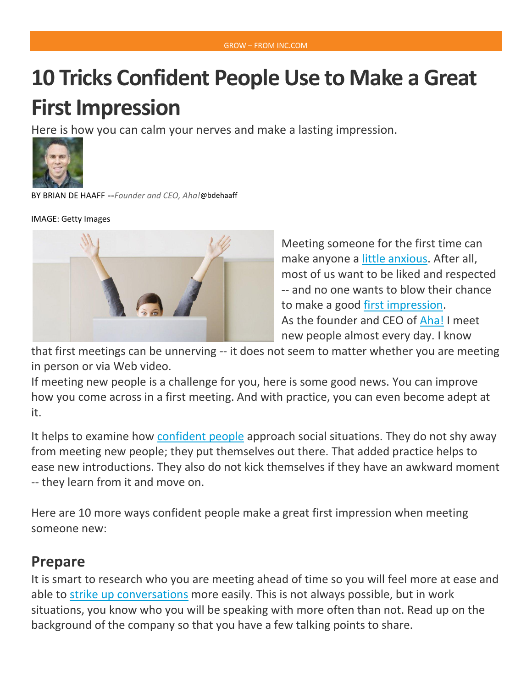# **10 Tricks Confident People Use to Make a Great First Impression**

Here is how you can calm your nerves and make a lasting impression.



BY BRIAN DE [HAAFF](http://www.inc.com/author/brian-de-haaff) --*Founder and CEO, Aha!*@[bdehaaff](http://www.twitter.com/bdehaaff)

IMAGE: Getty Images



Meeting someone for the first time can make anyone a little [anxious.](http://www.inc.com/joel-comm/the-5-things-you-learn-within-3-minutes-of-meeting-someone-new.html) After all, most of us want to be liked and respected -- and no one wants to blow their chance to make a good [first impression.](http://www.inc.com/kevin-daum/7-critical-ways-productive-people-prepare-for-meetings.html) As the founder and CEO of [Aha!](http://www.aha.io/) I meet new people almost every day. I know

that first meetings can be unnerving -- it does not seem to matter whether you are meeting in person or via Web video.

If meeting new people is a challenge for you, here is some good news. You can improve how you come across in a first meeting. And with practice, you can even become adept at it.

It helps to examine how [confident people](http://blog.aha.io/index.php/the-one-word-confident-people-always-say/) approach social situations. They do not shy away from meeting new people; they put themselves out there. That added practice helps to ease new introductions. They also do not kick themselves if they have an awkward moment -- they learn from it and move on.

Here are 10 more ways confident people make a great first impression when meeting someone new:

#### **Prepare**

It is smart to research who you are meeting ahead of time so you will feel more at ease and able to strike up [conversations](http://blog.aha.io/index.php/how-smart-employees-play-hard-to-get/) more easily. This is not always possible, but in work situations, you know who you will be speaking with more often than not. Read up on the background of the company so that you have a few talking points to share.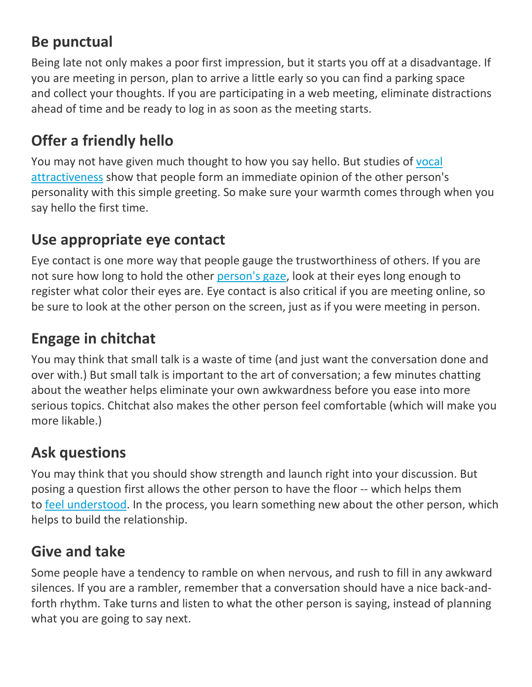#### **Be punctual**

Being late not only makes a poor first impression, but it starts you off at a disadvantage. If you are meeting in person, plan to arrive a little early so you can find a parking space and collect your thoughts. If you are participating in a web meeting, eliminate distractions ahead of time and be ready to log in as soon as the meeting starts.

# **Offer a friendly hello**

You may not have given much thought to how you say hello. But studies of [vocal](http://journals.plos.org/plosone/article?id=10.1371/journal.pone.0090779)  [attractiveness](http://journals.plos.org/plosone/article?id=10.1371/journal.pone.0090779) show that people form an immediate opinion of the other person's personality with this simple greeting. So make sure your warmth comes through when you say hello the first time.

#### **Use appropriate eye contact**

Eye contact is one more way that people gauge the trustworthiness of others. If you are not sure how long to hold the other [person's](https://www.themuse.com/advice/the-secrets-to-making-nonawkward-eye-contact) gaze, look at their eyes long enough to register what color their eyes are. Eye contact is also critical if you are meeting online, so be sure to look at the other person on the screen, just as if you were meeting in person.

## **Engage in chitchat**

You may think that small talk is a waste of time (and just want the conversation done and over with.) But small talk is important to the art of conversation; a few minutes chatting about the weather helps eliminate your own awkwardness before you ease into more serious topics. Chitchat also makes the other person feel comfortable (which will make you more likable.)

## **Ask questions**

You may think that you should show strength and launch right into your discussion. But posing a question first allows the other person to have the floor -- which helps them to feel [understood.](http://www.wired.com/2012/11/amy-cuddy-first-impressions/) In the process, you learn something new about the other person, which helps to build the relationship.

#### **Give and take**

Some people have a tendency to ramble on when nervous, and rush to fill in any awkward silences. If you are a rambler, remember that a conversation should have a nice back-andforth rhythm. Take turns and listen to what the other person is saying, instead of planning what you are going to say next.